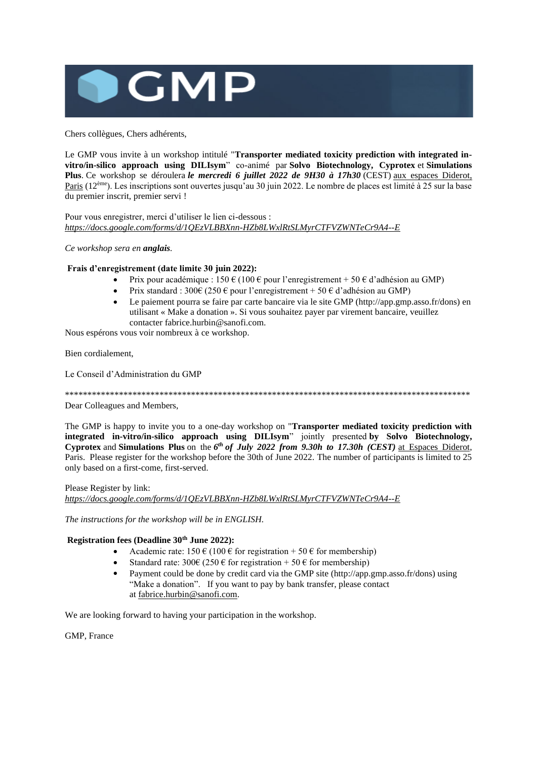

Chers collègues, Chers adhérents,

Le GMP vous invite à un workshop intitulé "**Transporter mediated toxicity prediction with integrated invitro/in-silico approach using DILIsym**" co-animé par **Solvo Biotechnology, Cyprotex** et **Simulations Plus**. Ce workshop se déroulera *le mercredi 6 juillet 2022 de 9H30 à 17h30* (CEST) aux espaces Diderot, Paris (12ème). Les inscriptions sont ouvertes jusqu'au 30 juin 2022. Le nombre de places est limité à 25 sur la base du premier inscrit, premier servi !

Pour vous enregistrer, merci d'utiliser le lien ci-dessous : *<https://docs.google.com/forms/d/1QEzVLBBXnn-HZb8LWxlRtSLMyrCTFVZWNTeCr9A4--E>*

*Ce workshop sera en anglais.*

#### **Frais d'enregistrement (date limite 30 juin 2022):**

- Prix pour académique :  $150 \text{ } \in (100 \text{ } \in \text{ pour l'energistrement} + 50 \text{ } \in \text{ d'adhésion au GMP})$
- Prix standard : 300€ (250 € pour l'enregistrement + 50 € d'adhésion au GMP)
- Le paiement pourra se faire par carte bancaire via le site GMP (http://app.gmp.asso.fr/dons) en utilisant « Make a donation ». Si vous souhaitez payer par virement bancaire, veuillez contacter fabrice.hurbin@sanofi.com.

Nous espérons vous voir nombreux à ce workshop.

Bien cordialement,

Le Conseil d'Administration du GMP

\*\*\*\*\*\*\*\*\*\*\*\*\*\*\*\*\*\*\*\*\*\*\*\*\*\*\*\*\*\*\*\*\*\*\*\*\*\*\*\*\*\*\*\*\*\*\*\*\*\*\*\*\*\*\*\*\*\*\*\*\*\*\*\*\*\*\*\*\*\*\*\*\*\*\*\*\*\*\*\*\*\*\*\*\*\*\*\*\*\*

Dear Colleagues and Members,

The GMP is happy to invite you to a one-day workshop on "**Transporter mediated toxicity prediction with integrated in-vitro/in-silico approach using DILIsym**" jointly presented **by Solvo Biotechnology, Cyprotex** and **Simulations Plus** on the *6 th of July 2022 from 9.30h to 17.30h (CEST)* at Espaces Diderot, Paris. Please register for the workshop before the 30th of June 2022. The number of participants is limited to 25 only based on a first-come, first-served.

Please Register by link:

*<https://docs.google.com/forms/d/1QEzVLBBXnn-HZb8LWxlRtSLMyrCTFVZWNTeCr9A4--E>*

*The instructions for the workshop will be in ENGLISH.*

#### **Registration fees (Deadline 30th June 2022):**

- Academic rate:  $150 \text{ } \in (100 \text{ } \in \text{ for registration } + 50 \text{ } \in \text{ for membership})$
- Standard rate:  $300 \in (250 \in \text{for registration} + 50 \in \text{for membership})$
- Payment could be done by credit card via the GMP site (http://app.gmp.asso.fr/dons) using "Make a donation". If you want to pay by bank transfer, please contact at [fabrice.hurbin@sanofi.com.](mailto:fabrice.hurbin@sanofi.com)

We are looking forward to having your participation in the workshop.

GMP, France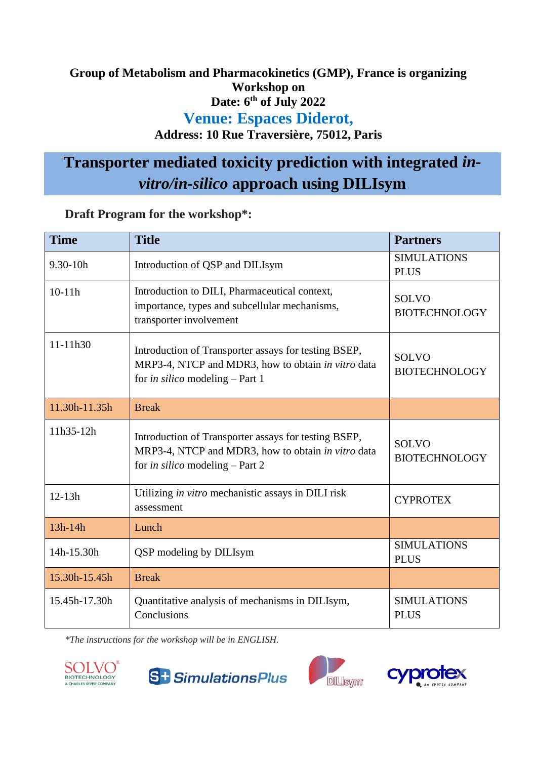# **Group of Metabolism and Pharmacokinetics (GMP), France is organizing Workshop on Date: 6th of July 2022 Venue: Espaces Diderot,**

# **Address: 10 Rue Traversière, 75012, Paris**

# **Transporter mediated toxicity prediction with integrated** *invitro/in-silico* **approach using DILIsym**

|  |  | Draft Program for the workshop*: |  |
|--|--|----------------------------------|--|
|  |  |                                  |  |

| <b>Time</b>   | <b>Title</b>                                                                                                                                         | <b>Partners</b>                      |
|---------------|------------------------------------------------------------------------------------------------------------------------------------------------------|--------------------------------------|
| $9.30 - 10h$  | Introduction of QSP and DILIsym                                                                                                                      | <b>SIMULATIONS</b><br><b>PLUS</b>    |
| $10-11h$      | Introduction to DILI, Pharmaceutical context,<br>importance, types and subcellular mechanisms,<br>transporter involvement                            | <b>SOLVO</b><br><b>BIOTECHNOLOGY</b> |
| 11-11h30      | Introduction of Transporter assays for testing BSEP,<br>MRP3-4, NTCP and MDR3, how to obtain in vitro data<br>for in silico modeling - Part 1        | <b>SOLVO</b><br><b>BIOTECHNOLOGY</b> |
| 11.30h-11.35h | <b>Break</b>                                                                                                                                         |                                      |
| 11h35-12h     | Introduction of Transporter assays for testing BSEP,<br>MRP3-4, NTCP and MDR3, how to obtain in vitro data<br>for <i>in silico</i> modeling - Part 2 | <b>SOLVO</b><br><b>BIOTECHNOLOGY</b> |
| $12 - 13h$    | Utilizing in vitro mechanistic assays in DILI risk<br>assessment                                                                                     | <b>CYPROTEX</b>                      |
| $13h-14h$     | Lunch                                                                                                                                                |                                      |
| 14h-15.30h    | QSP modeling by DILIsym                                                                                                                              | <b>SIMULATIONS</b><br><b>PLUS</b>    |
| 15.30h-15.45h | <b>Break</b>                                                                                                                                         |                                      |
| 15.45h-17.30h | Quantitative analysis of mechanisms in DILIsym,<br>Conclusions                                                                                       | <b>SIMULATIONS</b><br><b>PLUS</b>    |

*\*The instructions for the workshop will be in ENGLISH.* 







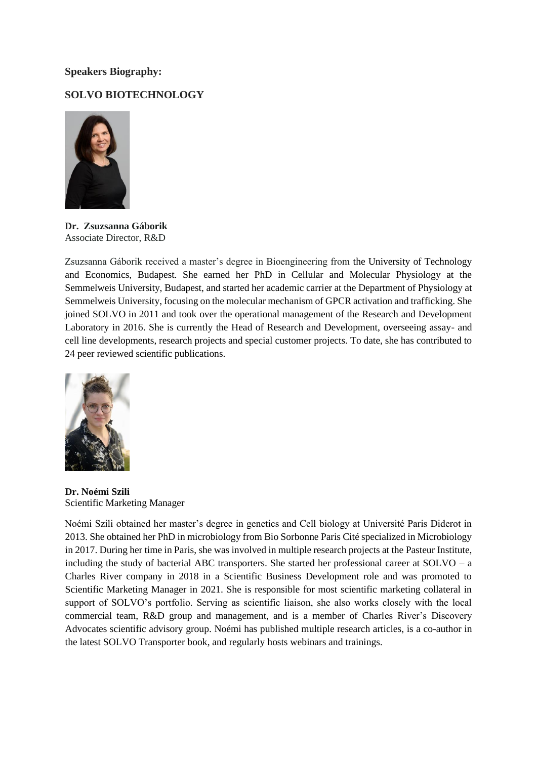## **Speakers Biography:**

## **SOLVO BIOTECHNOLOGY**



**Dr. Zsuzsanna Gáborik** Associate Director, R&D

Zsuzsanna Gáborik received a master's degree in Bioengineering from the University of Technology and Economics, Budapest. She earned her PhD in Cellular and Molecular Physiology at the Semmelweis University, Budapest, and started her academic carrier at the Department of Physiology at Semmelweis University, focusing on the molecular mechanism of GPCR activation and trafficking. She joined SOLVO in 2011 and took over the operational management of the Research and Development Laboratory in 2016. She is currently the Head of Research and Development, overseeing assay- and cell line developments, research projects and special customer projects. To date, she has contributed to 24 peer reviewed scientific publications.



**Dr. Noémi Szili** Scientific Marketing Manager

Noémi Szili obtained her master's degree in genetics and Cell biology at Université Paris Diderot in 2013. She obtained her PhD in microbiology from Bio Sorbonne Paris Cité specialized in Microbiology in 2017. During her time in Paris, she was involved in multiple research projects at the Pasteur Institute, including the study of bacterial ABC transporters. She started her professional career at SOLVO – a Charles River company in 2018 in a Scientific Business Development role and was promoted to Scientific Marketing Manager in 2021. She is responsible for most scientific marketing collateral in support of SOLVO's portfolio. Serving as scientific liaison, she also works closely with the local commercial team, R&D group and management, and is a member of Charles River's Discovery Advocates scientific advisory group. Noémi has published multiple research articles, is a co-author in the latest SOLVO Transporter book, and regularly hosts webinars and trainings.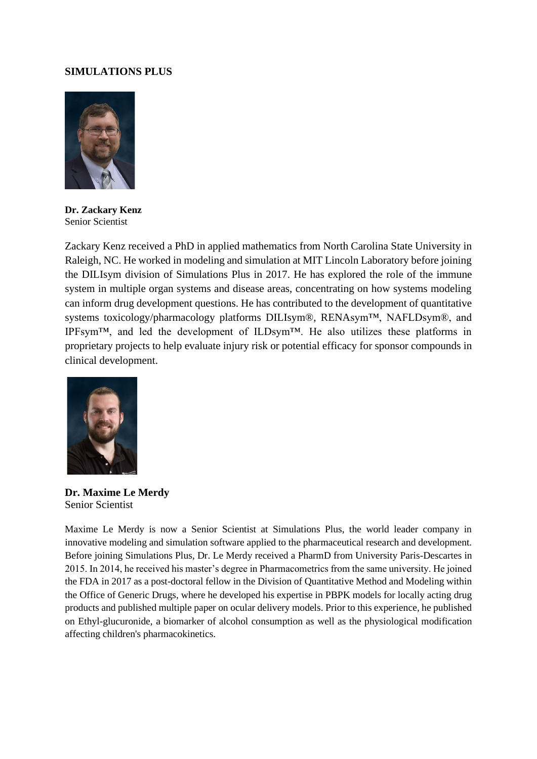## **SIMULATIONS PLUS**



**Dr. Zackary Kenz** Senior Scientist

Zackary Kenz received a PhD in applied mathematics from North Carolina State University in Raleigh, NC. He worked in modeling and simulation at MIT Lincoln Laboratory before joining the DILIsym division of Simulations Plus in 2017. He has explored the role of the immune system in multiple organ systems and disease areas, concentrating on how systems modeling can inform drug development questions. He has contributed to the development of quantitative systems toxicology/pharmacology platforms DILIsym®, RENAsym™, NAFLDsym®, and IPFsym™, and led the development of ILDsym™. He also utilizes these platforms in proprietary projects to help evaluate injury risk or potential efficacy for sponsor compounds in clinical development.



**Dr. Maxime Le Merdy** Senior Scientist

Maxime Le Merdy is now a Senior Scientist at Simulations Plus, the world leader company in innovative modeling and simulation software applied to the pharmaceutical research and development. Before joining Simulations Plus, Dr. Le Merdy received a PharmD from University Paris-Descartes in 2015. In 2014, he received his master's degree in Pharmacometrics from the same university. He joined the FDA in 2017 as a post-doctoral fellow in the Division of Quantitative Method and Modeling within the Office of Generic Drugs, where he developed his expertise in PBPK models for locally acting drug products and published multiple paper on ocular delivery models. Prior to this experience, he published on Ethyl-glucuronide, a biomarker of alcohol consumption as well as the physiological modification affecting children's pharmacokinetics.